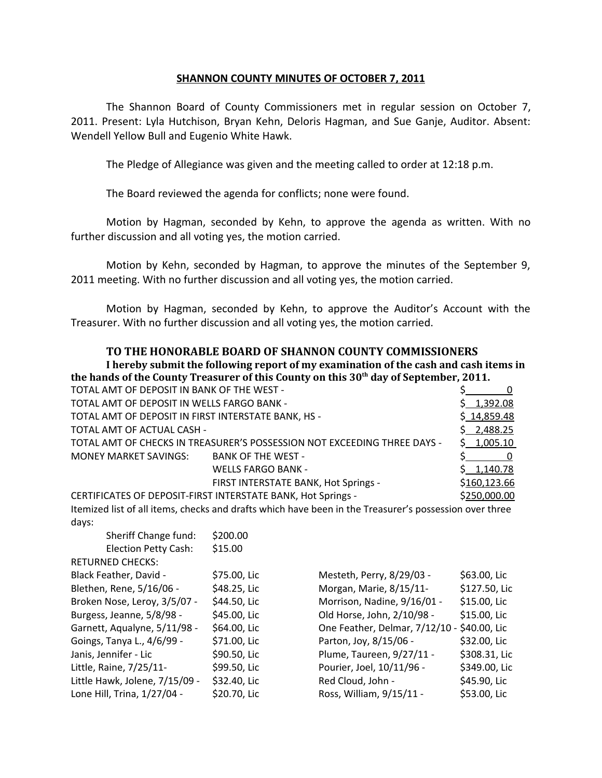## **SHANNON COUNTY MINUTES OF OCTOBER 7, 2011**

The Shannon Board of County Commissioners met in regular session on October 7, 2011. Present: Lyla Hutchison, Bryan Kehn, Deloris Hagman, and Sue Ganje, Auditor. Absent: Wendell Yellow Bull and Eugenio White Hawk.

The Pledge of Allegiance was given and the meeting called to order at 12:18 p.m.

The Board reviewed the agenda for conflicts; none were found.

Motion by Hagman, seconded by Kehn, to approve the agenda as written. With no further discussion and all voting yes, the motion carried.

Motion by Kehn, seconded by Hagman, to approve the minutes of the September 9, 2011 meeting. With no further discussion and all voting yes, the motion carried.

Motion by Hagman, seconded by Kehn, to approve the Auditor's Account with the Treasurer. With no further discussion and all voting yes, the motion carried.

## **TO THE HONORABLE BOARD OF SHANNON COUNTY COMMISSIONERS**

**I hereby submit the following report of my examination of the cash and cash items in the hands of the County Treasurer of this County on this 30th day of September, 2011.**

| \$1,392.08<br>TOTAL AMT OF DEPOSIT IN WELLS FARGO BANK -                               |  |
|----------------------------------------------------------------------------------------|--|
| \$14,859.48<br>TOTAL AMT OF DEPOSIT IN FIRST INTERSTATE BANK, HS -                     |  |
| \$2,488.25<br>TOTAL AMT OF ACTUAL CASH -                                               |  |
| TOTAL AMT OF CHECKS IN TREASURER'S POSSESSION NOT EXCEEDING THREE DAYS -<br>\$1,005.10 |  |
| MONEY MARKET SAVINGS: BANK OF THE WEST -                                               |  |
| \$1,140.78<br><b>WELLS FARGO BANK -</b>                                                |  |
| \$160,123.66<br>FIRST INTERSTATE BANK, Hot Springs -                                   |  |
| CERTIFICATES OF DEPOSIT-FIRST INTERSTATE BANK, Hot Springs -<br>\$250,000.00           |  |

Itemized list of all items, checks and drafts which have been in the Treasurer's possession over three days:

| Sheriff Change fund:           | \$200.00     |                                             |               |
|--------------------------------|--------------|---------------------------------------------|---------------|
| Election Petty Cash:           | \$15.00      |                                             |               |
| <b>RETURNED CHECKS:</b>        |              |                                             |               |
| Black Feather, David -         | \$75.00, Lic | Mesteth, Perry, 8/29/03 -                   | \$63.00, Lic  |
| Blethen, Rene, 5/16/06 -       | \$48.25, Lic | Morgan, Marie, 8/15/11-                     | \$127.50, Lic |
| Broken Nose, Leroy, 3/5/07 -   | \$44.50, Lic | Morrison, Nadine, 9/16/01 -                 | \$15.00, Lic  |
| Burgess, Jeanne, 5/8/98 -      | \$45.00, Lic | Old Horse, John, 2/10/98 -                  | \$15.00, Lic  |
| Garnett, Aqualyne, 5/11/98 -   | \$64.00, Lic | One Feather, Delmar, 7/12/10 - \$40.00, Lic |               |
| Goings, Tanya L., 4/6/99 -     | \$71.00, Lic | Parton, Joy, 8/15/06 -                      | \$32.00, Lic  |
| Janis, Jennifer - Lic          | \$90.50, Lic | Plume, Taureen, 9/27/11 -                   | \$308.31, Lic |
| Little, Raine, 7/25/11-        | \$99.50, Lic | Pourier, Joel, 10/11/96 -                   | \$349.00, Lic |
| Little Hawk, Jolene, 7/15/09 - | \$32.40, Lic | Red Cloud, John -                           | \$45.90, Lic  |
| Lone Hill, Trina, 1/27/04 -    | \$20.70, Lic | Ross, William, 9/15/11 -                    | \$53.00, Lic  |
|                                |              |                                             |               |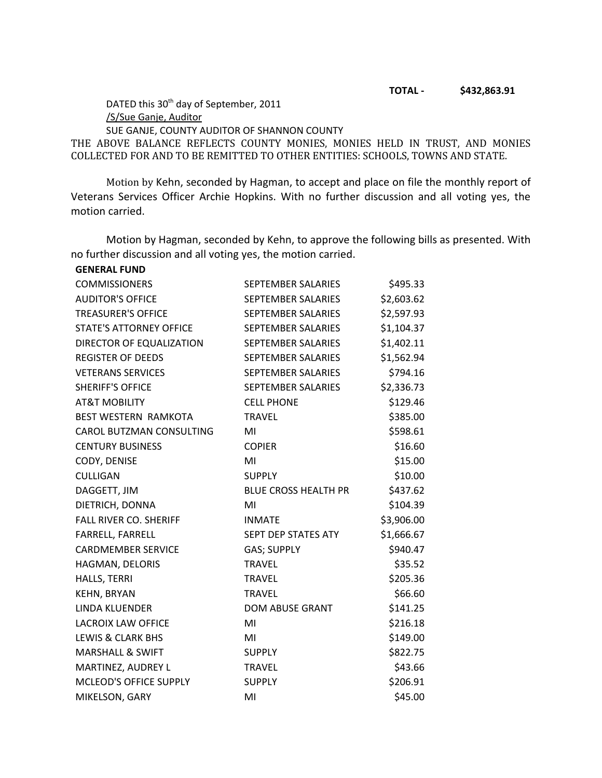DATED this 30<sup>th</sup> day of September, 2011 /S/Sue Ganje, Auditor SUE GANJE, COUNTY AUDITOR OF SHANNON COUNTY

THE ABOVE BALANCE REFLECTS COUNTY MONIES, MONIES HELD IN TRUST, AND MONIES COLLECTED FOR AND TO BE REMITTED TO OTHER ENTITIES: SCHOOLS, TOWNS AND STATE.

Motion by Kehn, seconded by Hagman, to accept and place on file the monthly report of Veterans Services Officer Archie Hopkins. With no further discussion and all voting yes, the motion carried.

Motion by Hagman, seconded by Kehn, to approve the following bills as presented. With no further discussion and all voting yes, the motion carried.

| <b>GENERAL FUND</b>            |                             |            |
|--------------------------------|-----------------------------|------------|
| <b>COMMISSIONERS</b>           | SEPTEMBER SALARIES          | \$495.33   |
| <b>AUDITOR'S OFFICE</b>        | <b>SEPTEMBER SALARIES</b>   | \$2,603.62 |
| <b>TREASURER'S OFFICE</b>      | SEPTEMBER SALARIES          | \$2,597.93 |
| <b>STATE'S ATTORNEY OFFICE</b> | SEPTEMBER SALARIES          | \$1,104.37 |
| DIRECTOR OF EQUALIZATION       | SEPTEMBER SALARIES          | \$1,402.11 |
| <b>REGISTER OF DEEDS</b>       | SEPTEMBER SALARIES          | \$1,562.94 |
| <b>VETERANS SERVICES</b>       | SEPTEMBER SALARIES          | \$794.16   |
| <b>SHERIFF'S OFFICE</b>        | SEPTEMBER SALARIES          | \$2,336.73 |
| <b>AT&amp;T MOBILITY</b>       | <b>CELL PHONE</b>           | \$129.46   |
| <b>BEST WESTERN RAMKOTA</b>    | <b>TRAVEL</b>               | \$385.00   |
| CAROL BUTZMAN CONSULTING       | MI                          | \$598.61   |
| <b>CENTURY BUSINESS</b>        | <b>COPIER</b>               | \$16.60    |
| CODY, DENISE                   | MI                          | \$15.00    |
| <b>CULLIGAN</b>                | <b>SUPPLY</b>               | \$10.00    |
| DAGGETT, JIM                   | <b>BLUE CROSS HEALTH PR</b> | \$437.62   |
| DIETRICH, DONNA                | MI                          | \$104.39   |
| <b>FALL RIVER CO. SHERIFF</b>  | <b>INMATE</b>               | \$3,906.00 |
| FARRELL, FARRELL               | SEPT DEP STATES ATY         | \$1,666.67 |
| <b>CARDMEMBER SERVICE</b>      | <b>GAS; SUPPLY</b>          | \$940.47   |
| HAGMAN, DELORIS                | <b>TRAVEL</b>               | \$35.52    |
| HALLS, TERRI                   | <b>TRAVEL</b>               | \$205.36   |
| <b>KEHN, BRYAN</b>             | <b>TRAVEL</b>               | \$66.60    |
| LINDA KLUENDER                 | <b>DOM ABUSE GRANT</b>      | \$141.25   |
| LACROIX LAW OFFICE             | MI                          | \$216.18   |
| LEWIS & CLARK BHS              | MI                          | \$149.00   |
| <b>MARSHALL &amp; SWIFT</b>    | <b>SUPPLY</b>               | \$822.75   |
| MARTINEZ, AUDREY L             | <b>TRAVEL</b>               | \$43.66    |
| <b>MCLEOD'S OFFICE SUPPLY</b>  | <b>SUPPLY</b>               | \$206.91   |
| MIKELSON, GARY                 | MI                          | \$45.00    |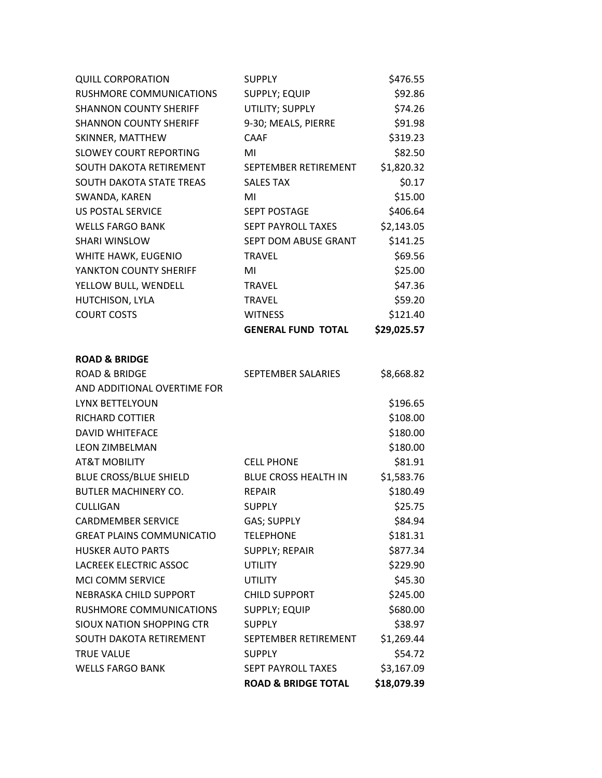| <b>QUILL CORPORATION</b>         | <b>SUPPLY</b>                  | \$476.55    |
|----------------------------------|--------------------------------|-------------|
| RUSHMORE COMMUNICATIONS          | <b>SUPPLY; EQUIP</b>           | \$92.86     |
| <b>SHANNON COUNTY SHERIFF</b>    | UTILITY; SUPPLY                | \$74.26     |
| <b>SHANNON COUNTY SHERIFF</b>    | 9-30; MEALS, PIERRE            | \$91.98     |
| SKINNER, MATTHEW                 | <b>CAAF</b>                    | \$319.23    |
| <b>SLOWEY COURT REPORTING</b>    | MI                             | \$82.50     |
| SOUTH DAKOTA RETIREMENT          | SEPTEMBER RETIREMENT           | \$1,820.32  |
| SOUTH DAKOTA STATE TREAS         | <b>SALES TAX</b>               | \$0.17      |
| SWANDA, KAREN                    | MI                             | \$15.00     |
| <b>US POSTAL SERVICE</b>         | SEPT POSTAGE                   | \$406.64    |
| <b>WELLS FARGO BANK</b>          | SEPT PAYROLL TAXES             | \$2,143.05  |
| <b>SHARI WINSLOW</b>             | SEPT DOM ABUSE GRANT           | \$141.25    |
| WHITE HAWK, EUGENIO              | <b>TRAVEL</b>                  | \$69.56     |
| YANKTON COUNTY SHERIFF           | MI                             | \$25.00     |
| YELLOW BULL, WENDELL             | <b>TRAVEL</b>                  | \$47.36     |
| HUTCHISON, LYLA                  | <b>TRAVEL</b>                  | \$59.20     |
| <b>COURT COSTS</b>               | <b>WITNESS</b>                 | \$121.40    |
|                                  | <b>GENERAL FUND TOTAL</b>      | \$29,025.57 |
| <b>ROAD &amp; BRIDGE</b>         |                                |             |
| <b>ROAD &amp; BRIDGE</b>         | SEPTEMBER SALARIES             | \$8,668.82  |
| AND ADDITIONAL OVERTIME FOR      |                                |             |
| LYNX BETTELYOUN                  |                                | \$196.65    |
| RICHARD COTTIER                  |                                | \$108.00    |
| <b>DAVID WHITEFACE</b>           |                                | \$180.00    |
| <b>LEON ZIMBELMAN</b>            |                                | \$180.00    |
| <b>AT&amp;T MOBILITY</b>         | <b>CELL PHONE</b>              | \$81.91     |
| <b>BLUE CROSS/BLUE SHIELD</b>    | <b>BLUE CROSS HEALTH IN</b>    | \$1,583.76  |
| <b>BUTLER MACHINERY CO.</b>      | <b>REPAIR</b>                  | \$180.49    |
| <b>CULLIGAN</b>                  | <b>SUPPLY</b>                  | \$25.75     |
| <b>CARDMEMBER SERVICE</b>        | <b>GAS; SUPPLY</b>             | \$84.94     |
| <b>GREAT PLAINS COMMUNICATIO</b> | <b>TELEPHONE</b>               | \$181.31    |
| <b>HUSKER AUTO PARTS</b>         | <b>SUPPLY; REPAIR</b>          | \$877.34    |
| LACREEK ELECTRIC ASSOC           | <b>UTILITY</b>                 | \$229.90    |
| <b>MCI COMM SERVICE</b>          | <b>UTILITY</b>                 | \$45.30     |
| NEBRASKA CHILD SUPPORT           | <b>CHILD SUPPORT</b>           | \$245.00    |
| RUSHMORE COMMUNICATIONS          | <b>SUPPLY; EQUIP</b>           | \$680.00    |
| SIOUX NATION SHOPPING CTR        | <b>SUPPLY</b>                  | \$38.97     |
| SOUTH DAKOTA RETIREMENT          | SEPTEMBER RETIREMENT           | \$1,269.44  |
| <b>TRUE VALUE</b>                | <b>SUPPLY</b>                  | \$54.72     |
| <b>WELLS FARGO BANK</b>          | <b>SEPT PAYROLL TAXES</b>      | \$3,167.09  |
|                                  | <b>ROAD &amp; BRIDGE TOTAL</b> | \$18,079.39 |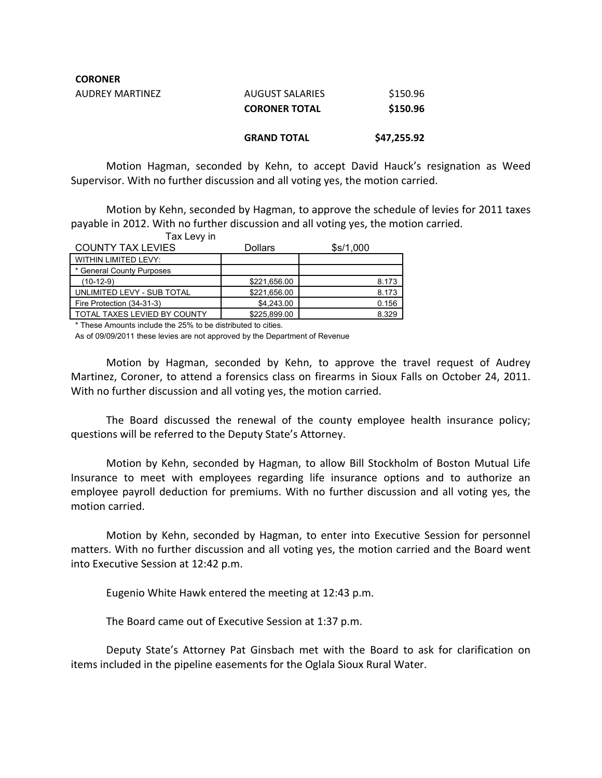| <b>CORONER</b>  |                        |             |
|-----------------|------------------------|-------------|
| AUDREY MARTINEZ | <b>AUGUST SALARIES</b> | \$150.96    |
|                 | <b>CORONER TOTAL</b>   | \$150.96    |
|                 | <b>GRAND TOTAL</b>     | \$47,255.92 |

Motion Hagman, seconded by Kehn, to accept David Hauck's resignation as Weed Supervisor. With no further discussion and all voting yes, the motion carried.

Motion by Kehn, seconded by Hagman, to approve the schedule of levies for 2011 taxes payable in 2012. With no further discussion and all voting yes, the motion carried.

| Tax Levy in                  |                |           |
|------------------------------|----------------|-----------|
| <b>COUNTY TAX LEVIES</b>     | <b>Dollars</b> | \$s/1,000 |
| <b>WITHIN LIMITED LEVY:</b>  |                |           |
| * General County Purposes    |                |           |
| $(10-12-9)$                  | \$221,656.00   | 8.173     |
| UNLIMITED LEVY - SUB TOTAL   | \$221,656.00   | 8.173     |
| Fire Protection (34-31-3)    | \$4,243.00     | 0.156     |
| TOTAL TAXES LEVIED BY COUNTY | \$225,899.00   | 8.329     |

\* These Amounts include the 25% to be distributed to cities.

As of 09/09/2011 these levies are not approved by the Department of Revenue

Motion by Hagman, seconded by Kehn, to approve the travel request of Audrey Martinez, Coroner, to attend a forensics class on firearms in Sioux Falls on October 24, 2011. With no further discussion and all voting yes, the motion carried.

The Board discussed the renewal of the county employee health insurance policy; questions will be referred to the Deputy State's Attorney.

Motion by Kehn, seconded by Hagman, to allow Bill Stockholm of Boston Mutual Life Insurance to meet with employees regarding life insurance options and to authorize an employee payroll deduction for premiums. With no further discussion and all voting yes, the motion carried.

Motion by Kehn, seconded by Hagman, to enter into Executive Session for personnel matters. With no further discussion and all voting yes, the motion carried and the Board went into Executive Session at 12:42 p.m.

Eugenio White Hawk entered the meeting at 12:43 p.m.

The Board came out of Executive Session at 1:37 p.m.

Deputy State's Attorney Pat Ginsbach met with the Board to ask for clarification on items included in the pipeline easements for the Oglala Sioux Rural Water.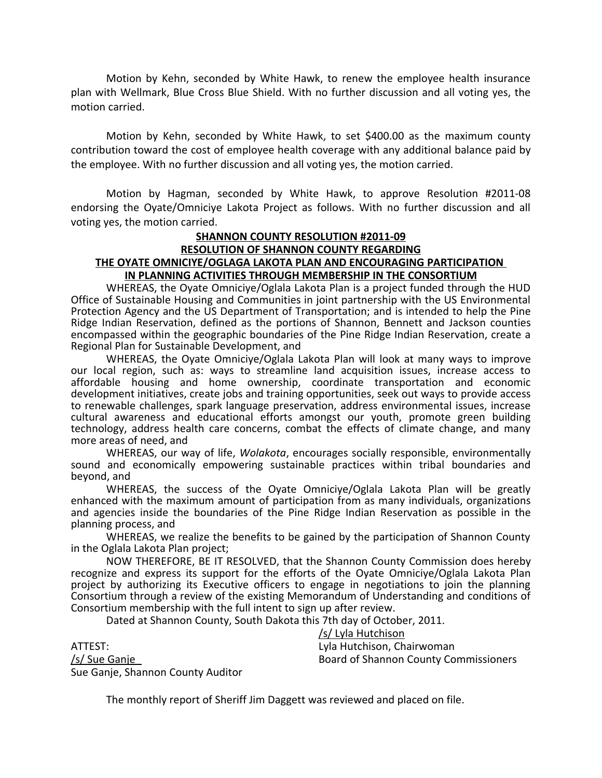Motion by Kehn, seconded by White Hawk, to renew the employee health insurance plan with Wellmark, Blue Cross Blue Shield. With no further discussion and all voting yes, the motion carried.

Motion by Kehn, seconded by White Hawk, to set \$400.00 as the maximum county contribution toward the cost of employee health coverage with any additional balance paid by the employee. With no further discussion and all voting yes, the motion carried.

Motion by Hagman, seconded by White Hawk, to approve Resolution #2011-08 endorsing the Oyate/Omniciye Lakota Project as follows. With no further discussion and all voting yes, the motion carried.

## **SHANNON COUNTY RESOLUTION #2011-09 RESOLUTION OF SHANNON COUNTY REGARDING THE OYATE OMNICIYE/OGLAGA LAKOTA PLAN AND ENCOURAGING PARTICIPATION IN PLANNING ACTIVITIES THROUGH MEMBERSHIP IN THE CONSORTIUM**

WHEREAS, the Oyate Omniciye/Oglala Lakota Plan is a project funded through the HUD Office of Sustainable Housing and Communities in joint partnership with the US Environmental Protection Agency and the US Department of Transportation; and is intended to help the Pine Ridge Indian Reservation, defined as the portions of Shannon, Bennett and Jackson counties encompassed within the geographic boundaries of the Pine Ridge Indian Reservation, create a Regional Plan for Sustainable Development, and

WHEREAS, the Oyate Omniciye/Oglala Lakota Plan will look at many ways to improve our local region, such as: ways to streamline land acquisition issues, increase access to affordable housing and home ownership, coordinate transportation and economic development initiatives, create jobs and training opportunities, seek out ways to provide access to renewable challenges, spark language preservation, address environmental issues, increase cultural awareness and educational efforts amongst our youth, promote green building technology, address health care concerns, combat the effects of climate change, and many more areas of need, and

WHEREAS, our way of life, *Wolakota*, encourages socially responsible, environmentally sound and economically empowering sustainable practices within tribal boundaries and beyond, and

WHEREAS, the success of the Oyate Omniciye/Oglala Lakota Plan will be greatly enhanced with the maximum amount of participation from as many individuals, organizations and agencies inside the boundaries of the Pine Ridge Indian Reservation as possible in the planning process, and

WHEREAS, we realize the benefits to be gained by the participation of Shannon County in the Oglala Lakota Plan project;

NOW THEREFORE, BE IT RESOLVED, that the Shannon County Commission does hereby recognize and express its support for the efforts of the Oyate Omniciye/Oglala Lakota Plan project by authorizing its Executive officers to engage in negotiations to join the planning Consortium through a review of the existing Memorandum of Understanding and conditions of Consortium membership with the full intent to sign up after review.

Dated at Shannon County, South Dakota this 7th day of October, 2011.

ATTEST: Lyla Hutchison, Chairwoman Sue Ganje, Shannon County Auditor

/s/ Lyla Hutchison /s/ Sue Ganje Board of Shannon County Commissioners

The monthly report of Sheriff Jim Daggett was reviewed and placed on file.